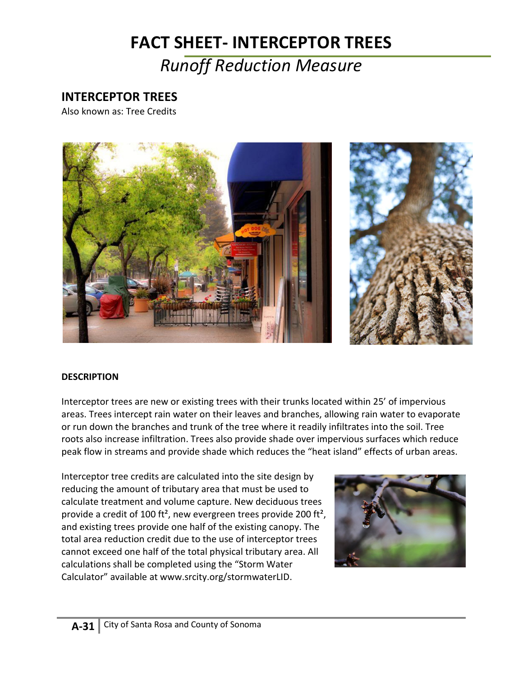# **FACT SHEET- INTERCEPTOR TREES**

## *Runoff Reduction Measure*

### **INTERCEPTOR TREES**

Also known as: Tree Credits





### **DESCRIPTION**

Interceptor trees are new or existing trees with their trunks located within 25' of impervious areas. Trees intercept rain water on their leaves and branches, allowing rain water to evaporate or run down the branches and trunk of the tree where it readily infiltrates into the soil. Tree roots also increase infiltration. Trees also provide shade over impervious surfaces which reduce peak flow in streams and provide shade which reduces the "heat island" effects of urban areas.

Interceptor tree credits are calculated into the site design by reducing the amount of tributary area that must be used to calculate treatment and volume capture. New deciduous trees provide a credit of 100 ft², new evergreen trees provide 200 ft², and existing trees provide one half of the existing canopy. The total area reduction credit due to the use of interceptor trees cannot exceed one half of the total physical tributary area. All calculations shall be completed using the "Storm Water Calculator" available at www.srcity.org/stormwaterLID.